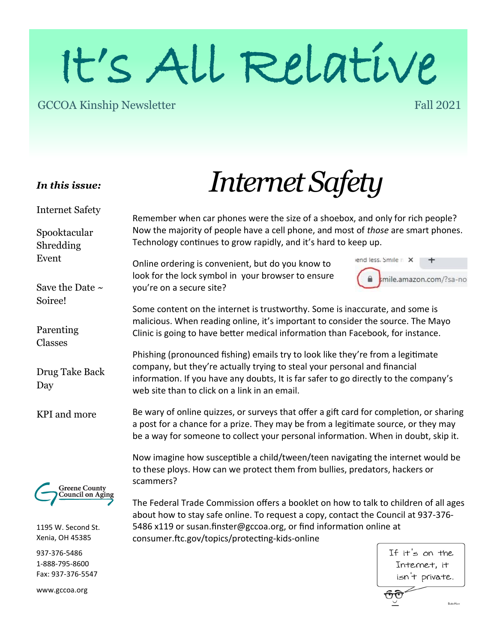# It's All Relative

#### GCCOA Kinship Newsletter

#### Fall 2021

#### *In this issue:*

Internet Safety

Spooktacular Shredding Event

Save the Date  $\sim$ 

Soiree!

## *Internet Safety*

Remember when car phones were the size of a shoebox, and only for rich people? Now the majority of people have a cell phone, and most of *those* are smart phones. Technology continues to grow rapidly, and it's hard to keep up.

Online ordering is convenient, but do you know to look for the lock symbol in your browser to ensure you're on a secure site?

vend less, Smile r X mile.amazon.com/?sa-no

Some content on the internet is trustworthy. Some is inaccurate, and some is malicious. When reading online, it's important to consider the source. The Mayo Clinic is going to have better medical information than Facebook, for instance.

Phishing (pronounced fishing) emails try to look like they're from a legitimate company, but they're actually trying to steal your personal and financial information. If you have any doubts, It is far safer to go directly to the company's web site than to click on a link in an email.

Be wary of online quizzes, or surveys that offer a gift card for completion, or sharing a post for a chance for a prize. They may be from a legitimate source, or they may be a way for someone to collect your personal information. When in doubt, skip it.

Now imagine how susceptible a child/tween/teen navigating the internet would be to these ploys. How can we protect them from bullies, predators, hackers or scammers?

The Federal Trade Commission offers a booklet on how to talk to children of all ages about how to stay safe online. To request a copy, contact the Council at 937-376- 5486 x119 or susan.finster@gccoa.org, or find information online at consumer.ftc.gov/topics/protecting-kids-online

> If it's on the Internet, it isn't private.

> > **Doka**Hour

Parenting Classes Drug Take Back Day KPI and more Greene County Council on Aging

1195 W. Second St. Xenia, OH 45385

937-376-5486 1-888-795-8600 Fax: 937-376-5547

www.gccoa.org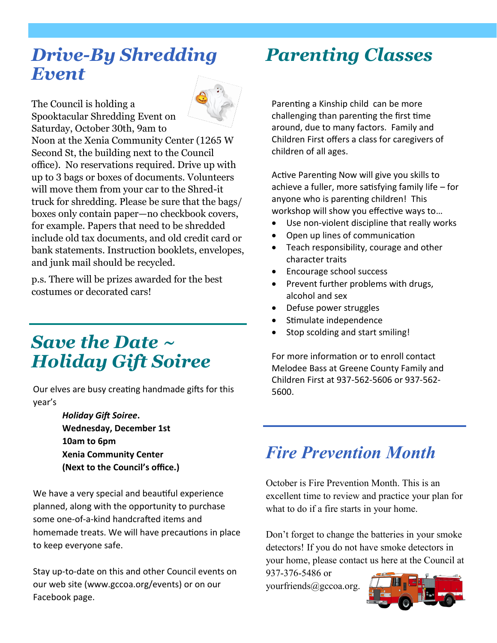#### *Drive-By Shredding Event*



The Council is holding a Spooktacular Shredding Event on Saturday, October 30th, 9am to

Noon at the Xenia Community Center (1265 W Second St, the building next to the Council office). No reservations required. Drive up with up to 3 bags or boxes of documents. Volunteers will move them from your car to the Shred-it truck for shredding. Please be sure that the bags/ boxes only contain paper—no checkbook covers, for example. Papers that need to be shredded include old tax documents, and old credit card or bank statements. Instruction booklets, envelopes, and junk mail should be recycled.

p.s. There will be prizes awarded for the best costumes or decorated cars!

#### *Save the Date ~ Holiday Gift Soiree*

Our elves are busy creating handmade gifts for this year's

> *Holiday Gift Soiree***. Wednesday, December 1st 10am to 6pm Xenia Community Center (Next to the Council's office.)**

We have a very special and beautiful experience planned, along with the opportunity to purchase some one-of-a-kind handcrafted items and homemade treats. We will have precautions in place to keep everyone safe.

Stay up-to-date on this and other Council events on our web site (www.gccoa.org/events) or on our Facebook page.

## *Parenting Classes*

Parenting a Kinship child can be more challenging than parenting the first time around, due to many factors. Family and Children First offers a class for caregivers of children of all ages.

Active Parenting Now will give you skills to achieve a fuller, more satisfying family life – for anyone who is parenting children! This workshop will show you effective ways to…

- Use non-violent discipline that really works
- Open up lines of communication
- Teach responsibility, courage and other character traits
- Encourage school success
- Prevent further problems with drugs, alcohol and sex
- Defuse power struggles
- Stimulate independence
- Stop scolding and start smiling!

For more information or to enroll contact Melodee Bass at Greene County Family and Children First at 937-562-5606 or 937-562- 5600.

#### *Fire Prevention Month*

October is Fire Prevention Month. This is an excellent time to review and practice your plan for what to do if a fire starts in your home.

Don't forget to change the batteries in your smoke detectors! If you do not have smoke detectors in your home, please contact us here at the Council at

937-376-5486 or yourfriends@gccoa.org.

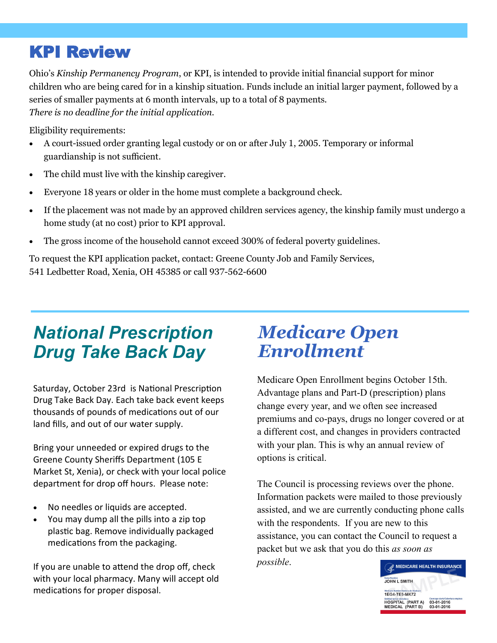#### KPI Review

Ohio's *Kinship Permanency Program*, or KPI, is intended to provide initial financial support for minor children who are being cared for in a kinship situation. Funds include an initial larger payment, followed by a series of smaller payments at 6 month intervals, up to a total of 8 payments. *There is no deadline for the initial application.* 

Eligibility requirements:

- A court-issued order granting legal custody or on or after July 1, 2005. Temporary or informal guardianship is not sufficient.
- The child must live with the kinship caregiver.
- Everyone 18 years or older in the home must complete a background check.
- If the placement was not made by an approved children services agency, the kinship family must undergo a home study (at no cost) prior to KPI approval.
- The gross income of the household cannot exceed 300% of federal poverty guidelines.

To request the KPI application packet, contact: Greene County Job and Family Services, 541 Ledbetter Road, Xenia, OH 45385 or call 937-562-6600

### *National Prescription Drug Take Back Day*

Saturday, October 23rd is National Prescription Drug Take Back Day. Each take back event keeps thousands of pounds of medications out of our land fills, and out of our water supply.

Bring your unneeded or expired drugs to the Greene County Sheriffs Department (105 E Market St, Xenia), or check with your local police department for drop off hours. Please note:

- No needles or liquids are accepted.
- You may dump all the pills into a zip top plastic bag. Remove individually packaged medications from the packaging.

If you are unable to attend the drop off, check with your local pharmacy. Many will accept old medications for proper disposal.

#### *Medicare Open Enrollment*

Medicare Open Enrollment begins October 15th. Advantage plans and Part-D (prescription) plans change every year, and we often see increased premiums and co-pays, drugs no longer covered or at a different cost, and changes in providers contracted with your plan. This is why an annual review of options is critical.

The Council is processing reviews over the phone. Information packets were mailed to those previously assisted, and we are currently conducting phone calls with the respondents. If you are new to this assistance, you can contact the Council to request a packet but we ask that you do this *as soon as possible*.